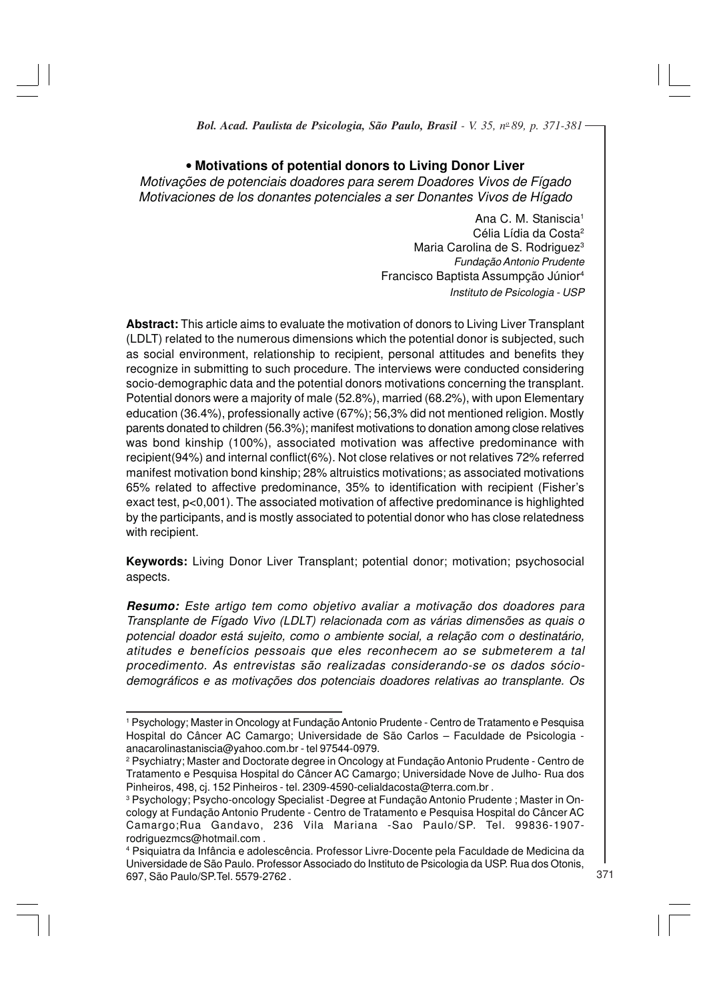# • **Motivations of potential donors to Living Donor Liver**

Motivações de potenciais doadores para serem Doadores Vivos de Fígado Motivaciones de los donantes potenciales a ser Donantes Vivos de Hígado

> Ana C. M. Staniscia<sup>1</sup> Célia Lídia da Costa<sup>2</sup> Maria Carolina de S. Rodriguez<sup>3</sup> Fundação Antonio Prudente Francisco Baptista Assumpção Júnior<sup>4</sup> Instituto de Psicologia - USP

**Abstract:** This article aims to evaluate the motivation of donors to Living Liver Transplant (LDLT) related to the numerous dimensions which the potential donor is subjected, such as social environment, relationship to recipient, personal attitudes and benefits they recognize in submitting to such procedure. The interviews were conducted considering socio-demographic data and the potential donors motivations concerning the transplant. Potential donors were a majority of male (52.8%), married (68.2%), with upon Elementary education (36.4%), professionally active (67%); 56,3% did not mentioned religion. Mostly parents donated to children (56.3%); manifest motivations to donation among close relatives was bond kinship (100%), associated motivation was affective predominance with recipient(94%) and internal conflict(6%). Not close relatives or not relatives 72% referred manifest motivation bond kinship; 28% altruistics motivations; as associated motivations 65% related to affective predominance, 35% to identification with recipient (Fisher's exact test, p<0,001). The associated motivation of affective predominance is highlighted by the participants, and is mostly associated to potential donor who has close relatedness with recipient.

**Keywords:** Living Donor Liver Transplant; potential donor; motivation; psychosocial aspects.

**Resumo:** Este artigo tem como objetivo avaliar a motivação dos doadores para Transplante de Fígado Vivo (LDLT) relacionada com as várias dimensões as quais o potencial doador está sujeito, como o ambiente social, a relação com o destinatário, atitudes e benefícios pessoais que eles reconhecem ao se submeterem a tal procedimento. As entrevistas são realizadas considerando-se os dados sóciodemográficos e as motivações dos potenciais doadores relativas ao transplante. Os

<sup>1</sup> Psychology; Master in Oncology at Fundação Antonio Prudente - Centro de Tratamento e Pesquisa Hospital do Câncer AC Camargo; Universidade de São Carlos – Faculdade de Psicologia anacarolinastaniscia@yahoo.com.br - tel 97544-0979.

<sup>2</sup> Psychiatry; Master and Doctorate degree in Oncology at Fundação Antonio Prudente - Centro de Tratamento e Pesquisa Hospital do Câncer AC Camargo; Universidade Nove de Julho- Rua dos Pinheiros, 498, cj. 152 Pinheiros - tel. 2309-4590-celialdacosta@terra.com.br .

<sup>3</sup> Psychology; Psycho-oncology Specialist -Degree at Fundação Antonio Prudente ; Master in Oncology at Fundação Antonio Prudente - Centro de Tratamento e Pesquisa Hospital do Câncer AC Camargo;Rua Gandavo, 236 Vila Mariana -Sao Paulo/SP. Tel. 99836-1907 rodriguezmcs@hotmail.com .

<sup>4</sup> Psiquiatra da Infância e adolescência. Professor Livre-Docente pela Faculdade de Medicina da Universidade de São Paulo. Professor Associado do Instituto de Psicologia da USP. Rua dos Otonis, 697, São Paulo/SP.Tel. 5579-2762 .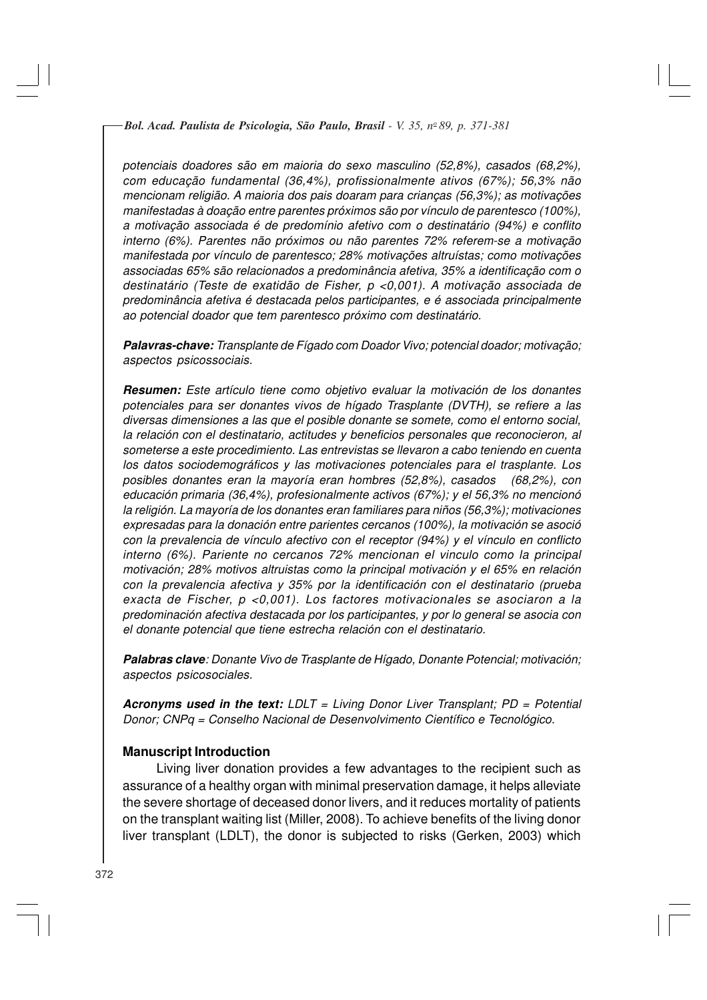potenciais doadores são em maioria do sexo masculino (52,8%), casados (68,2%), com educação fundamental (36,4%), profissionalmente ativos (67%); 56,3% não mencionam religião. A maioria dos pais doaram para crianças (56,3%); as motivações manifestadas à doação entre parentes próximos são por vínculo de parentesco (100%), a motivação associada é de predomínio afetivo com o destinatário (94%) e conflito interno (6%). Parentes não próximos ou não parentes 72% referem-se a motivação manifestada por vínculo de parentesco; 28% motivações altruístas; como motivações associadas 65% são relacionados a predominância afetiva, 35% a identificação com o destinatário (Teste de exatidão de Fisher, p <0,001). A motivação associada de predominância afetiva é destacada pelos participantes, e é associada principalmente ao potencial doador que tem parentesco próximo com destinatário.

**Palavras-chave:** Transplante de Fígado com Doador Vivo; potencial doador; motivação; aspectos psicossociais.

**Resumen:** Este artículo tiene como objetivo evaluar la motivación de los donantes potenciales para ser donantes vivos de hígado Trasplante (DVTH), se refiere a las diversas dimensiones a las que el posible donante se somete, como el entorno social, la relación con el destinatario, actitudes y beneficios personales que reconocieron, al someterse a este procedimiento. Las entrevistas se llevaron a cabo teniendo en cuenta los datos sociodemográficos y las motivaciones potenciales para el trasplante. Los posibles donantes eran la mayoría eran hombres (52,8%), casados (68,2%), con educación primaria (36,4%), profesionalmente activos (67%); y el 56,3% no mencionó la religión. La mayoría de los donantes eran familiares para niños (56,3%); motivaciones expresadas para la donación entre parientes cercanos (100%), la motivación se asoció con la prevalencia de vínculo afectivo con el receptor (94%) y el vínculo en conflicto interno (6%). Pariente no cercanos 72% mencionan el vinculo como la principal motivación; 28% motivos altruistas como la principal motivación y el 65% en relación con la prevalencia afectiva y 35% por la identificación con el destinatario (prueba exacta de Fischer, p <0,001). Los factores motivacionales se asociaron a la predominación afectiva destacada por los participantes, y por lo general se asocia con el donante potencial que tiene estrecha relación con el destinatario.

**Palabras clave**: Donante Vivo de Trasplante de Hígado, Donante Potencial; motivación; aspectos psicosociales.

**Acronyms used in the text:** LDLT = Living Donor Liver Transplant; PD = Potential Donor; CNPq = Conselho Nacional de Desenvolvimento Científico e Tecnológico.

#### **Manuscript Introduction**

Living liver donation provides a few advantages to the recipient such as assurance of a healthy organ with minimal preservation damage, it helps alleviate the severe shortage of deceased donor livers, and it reduces mortality of patients on the transplant waiting list (Miller, 2008). To achieve benefits of the living donor liver transplant (LDLT), the donor is subjected to risks (Gerken, 2003) which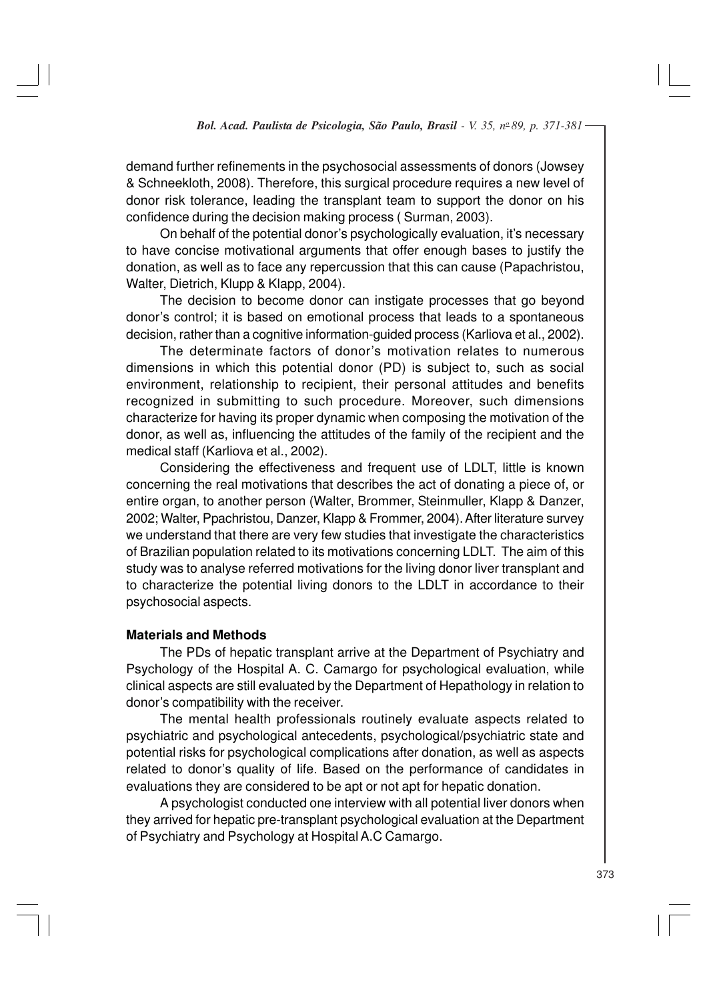demand further refinements in the psychosocial assessments of donors (Jowsey & Schneekloth, 2008). Therefore, this surgical procedure requires a new level of donor risk tolerance, leading the transplant team to support the donor on his confidence during the decision making process ( Surman, 2003).

On behalf of the potential donor's psychologically evaluation, it's necessary to have concise motivational arguments that offer enough bases to justify the donation, as well as to face any repercussion that this can cause (Papachristou, Walter, Dietrich, Klupp & Klapp, 2004).

The decision to become donor can instigate processes that go beyond donor's control; it is based on emotional process that leads to a spontaneous decision, rather than a cognitive information-guided process (Karliova et al., 2002).

The determinate factors of donor's motivation relates to numerous dimensions in which this potential donor (PD) is subject to, such as social environment, relationship to recipient, their personal attitudes and benefits recognized in submitting to such procedure. Moreover, such dimensions characterize for having its proper dynamic when composing the motivation of the donor, as well as, influencing the attitudes of the family of the recipient and the medical staff (Karliova et al., 2002).

Considering the effectiveness and frequent use of LDLT, little is known concerning the real motivations that describes the act of donating a piece of, or entire organ, to another person (Walter, Brommer, Steinmuller, Klapp & Danzer, 2002; Walter, Ppachristou, Danzer, Klapp & Frommer, 2004). After literature survey we understand that there are very few studies that investigate the characteristics of Brazilian population related to its motivations concerning LDLT. The aim of this study was to analyse referred motivations for the living donor liver transplant and to characterize the potential living donors to the LDLT in accordance to their psychosocial aspects.

# **Materials and Methods**

The PDs of hepatic transplant arrive at the Department of Psychiatry and Psychology of the Hospital A. C. Camargo for psychological evaluation, while clinical aspects are still evaluated by the Department of Hepathology in relation to donor's compatibility with the receiver.

The mental health professionals routinely evaluate aspects related to psychiatric and psychological antecedents, psychological/psychiatric state and potential risks for psychological complications after donation, as well as aspects related to donor's quality of life. Based on the performance of candidates in evaluations they are considered to be apt or not apt for hepatic donation.

A psychologist conducted one interview with all potential liver donors when they arrived for hepatic pre-transplant psychological evaluation at the Department of Psychiatry and Psychology at Hospital A.C Camargo.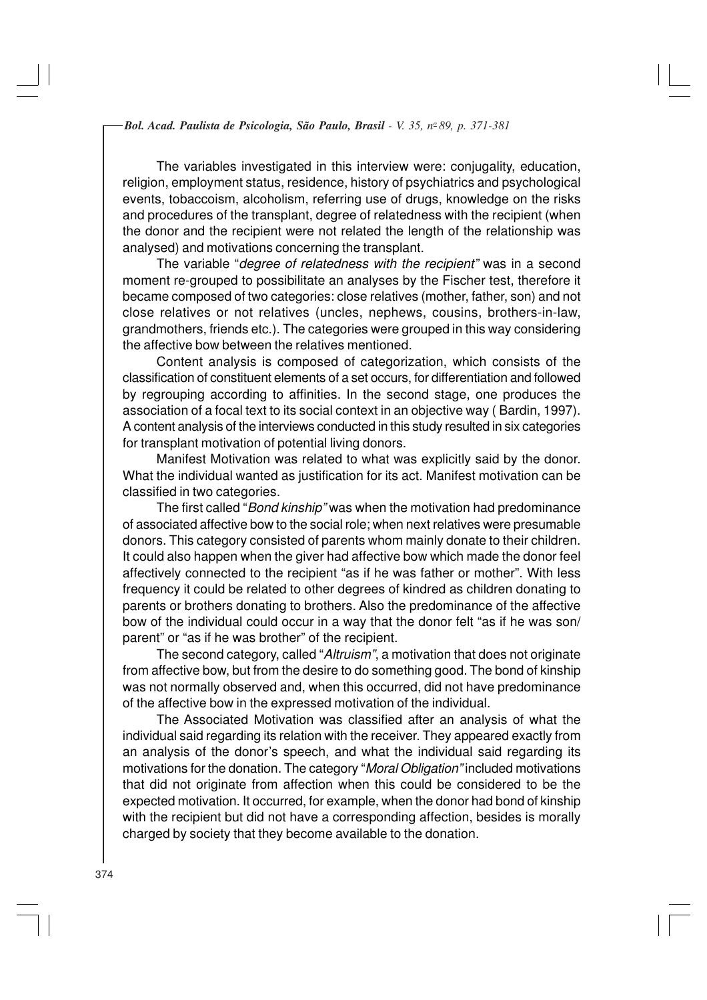The variables investigated in this interview were: conjugality, education, religion, employment status, residence, history of psychiatrics and psychological events, tobaccoism, alcoholism, referring use of drugs, knowledge on the risks and procedures of the transplant, degree of relatedness with the recipient (when the donor and the recipient were not related the length of the relationship was analysed) and motivations concerning the transplant.

The variable "degree of relatedness with the recipient" was in a second moment re-grouped to possibilitate an analyses by the Fischer test, therefore it became composed of two categories: close relatives (mother, father, son) and not close relatives or not relatives (uncles, nephews, cousins, brothers-in-law, grandmothers, friends etc.). The categories were grouped in this way considering the affective bow between the relatives mentioned.

Content analysis is composed of categorization, which consists of the classification of constituent elements of a set occurs, for differentiation and followed by regrouping according to affinities. In the second stage, one produces the association of a focal text to its social context in an objective way ( Bardin, 1997). A content analysis of the interviews conducted in this study resulted in six categories for transplant motivation of potential living donors.

Manifest Motivation was related to what was explicitly said by the donor. What the individual wanted as justification for its act. Manifest motivation can be classified in two categories.

The first called "Bond kinship" was when the motivation had predominance of associated affective bow to the social role; when next relatives were presumable donors. This category consisted of parents whom mainly donate to their children. It could also happen when the giver had affective bow which made the donor feel affectively connected to the recipient "as if he was father or mother". With less frequency it could be related to other degrees of kindred as children donating to parents or brothers donating to brothers. Also the predominance of the affective bow of the individual could occur in a way that the donor felt "as if he was son/ parent" or "as if he was brother" of the recipient.

The second category, called "Altruism", a motivation that does not originate from affective bow, but from the desire to do something good. The bond of kinship was not normally observed and, when this occurred, did not have predominance of the affective bow in the expressed motivation of the individual.

The Associated Motivation was classified after an analysis of what the individual said regarding its relation with the receiver. They appeared exactly from an analysis of the donor's speech, and what the individual said regarding its motivations for the donation. The category "Moral Obligation" included motivations that did not originate from affection when this could be considered to be the expected motivation. It occurred, for example, when the donor had bond of kinship with the recipient but did not have a corresponding affection, besides is morally charged by society that they become available to the donation.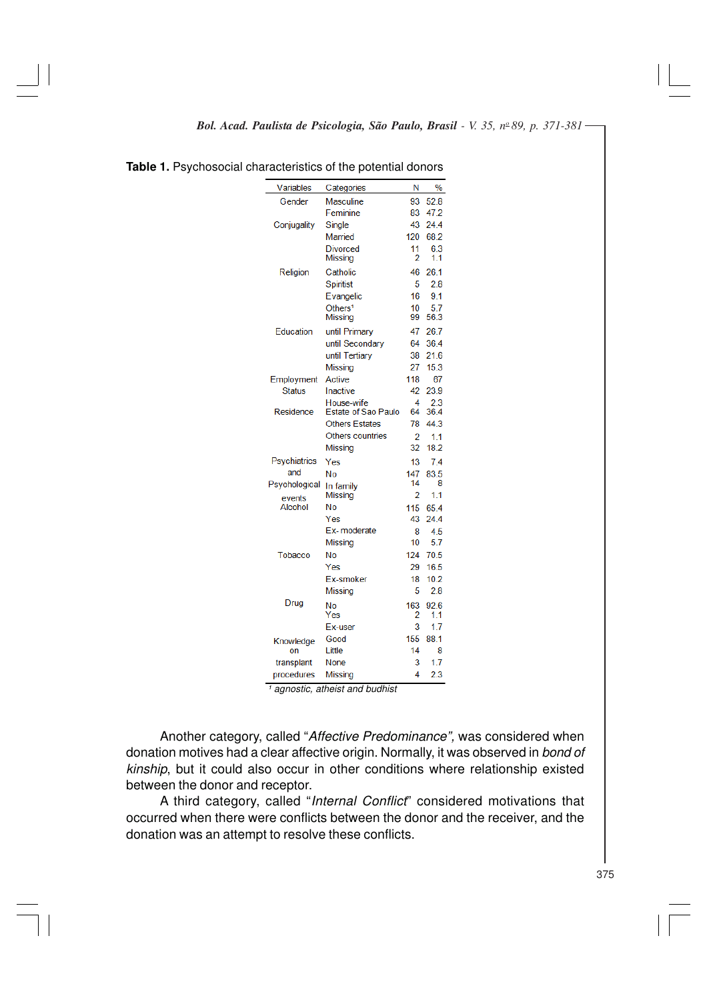| <b>Variables</b>    | Categories                 | Ν        | $\%$        |
|---------------------|----------------------------|----------|-------------|
| Gender              | Masculine                  | 93       | 52.8        |
|                     | Feminine                   | 83       | 47.2        |
| Conjugality         | Single                     | 43       | 24.4        |
|                     | Married                    | 120      | 68.2        |
|                     | Divorced<br>Missing        | 11<br>2  | 6.3<br>1.1  |
| Religion            | Catholic                   | 46       | 26.1        |
|                     | Spiritist                  | 5        | 2.8         |
|                     | Evangelic                  | 16       | 9.1         |
|                     | Others <sup>1</sup>        | 10       | 5.7         |
|                     | <b>Missing</b>             | 99       | 56.3        |
| Education           | until Primary              | 47       | 26.7        |
|                     | until Secondary            | 64       | 36.4        |
|                     | until Tertiary             | 38       | 21.6        |
|                     | Missing                    | 27       | 15.3        |
| Employment          | Active                     | 118      | 67          |
| <b>Status</b>       | Inactive                   | 42       | 23.9        |
|                     | House-wife                 | 4        | 2.3         |
| Residence           | <b>Estate of Sao Paulo</b> | 64       | 36.4        |
|                     | <b>Others Estates</b>      | 78       | 44.3        |
|                     | Others countries           | 2        | 1.1         |
|                     | Missing                    | 32       | 18.2        |
| <b>Psychiatrics</b> | Yes                        | 13       | 7.4         |
| and                 | Nο                         | 147      | 83.5        |
| Psychological       | In family                  | 14       | 8           |
| events              | Missing                    | 2        | 1.1         |
| Alcohol             | No                         | 115      | 65.4        |
|                     | Yes<br>Ex-moderate         | 43       | 24.4        |
|                     |                            | 8<br>10  | 4.5<br>5.7  |
|                     | Missing                    | 124      |             |
| Tobacco             | No                         |          | 70.5        |
|                     | Yes                        | 29       | 16.5        |
|                     | Ex-smoker                  | 18<br>5  | 10.2<br>2.8 |
|                     | Missing                    |          |             |
| Drug                | No<br>Yes                  | 163<br>2 | 92.6<br>1.1 |
|                     | Ex-user                    | 3        | 1.7         |
| Knowledge           | Good                       | 155      | 88.1        |
| on                  | Little                     | 14       | 8           |
| transplant          | None                       | 3        | 1.7         |
| procedures          | Missina                    | 4        | 2.3         |

**Table 1.** Psychosocial characteristics of the potential donors

 $\frac{1}{1}$  agnostic, atheist and budhist

Another category, called "Affective Predominance", was considered when donation motives had a clear affective origin. Normally, it was observed in bond of kinship, but it could also occur in other conditions where relationship existed between the donor and receptor.

A third category, called "Internal Conflict" considered motivations that occurred when there were conflicts between the donor and the receiver, and the donation was an attempt to resolve these conflicts.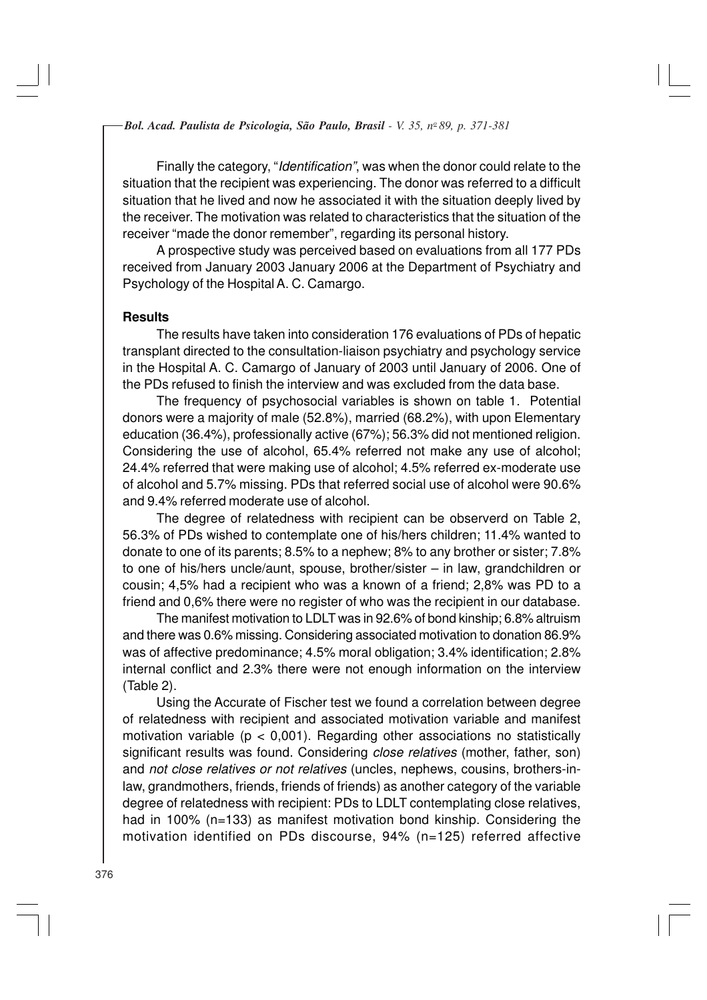Finally the category, "Identification", was when the donor could relate to the situation that the recipient was experiencing. The donor was referred to a difficult situation that he lived and now he associated it with the situation deeply lived by the receiver. The motivation was related to characteristics that the situation of the receiver "made the donor remember", regarding its personal history.

A prospective study was perceived based on evaluations from all 177 PDs received from January 2003 January 2006 at the Department of Psychiatry and Psychology of the Hospital A. C. Camargo.

#### **Results**

The results have taken into consideration 176 evaluations of PDs of hepatic transplant directed to the consultation-liaison psychiatry and psychology service in the Hospital A. C. Camargo of January of 2003 until January of 2006. One of the PDs refused to finish the interview and was excluded from the data base.

The frequency of psychosocial variables is shown on table 1. Potential donors were a majority of male (52.8%), married (68.2%), with upon Elementary education (36.4%), professionally active (67%); 56.3% did not mentioned religion. Considering the use of alcohol, 65.4% referred not make any use of alcohol; 24.4% referred that were making use of alcohol; 4.5% referred ex-moderate use of alcohol and 5.7% missing. PDs that referred social use of alcohol were 90.6% and 9.4% referred moderate use of alcohol.

The degree of relatedness with recipient can be observerd on Table 2, 56.3% of PDs wished to contemplate one of his/hers children; 11.4% wanted to donate to one of its parents; 8.5% to a nephew; 8% to any brother or sister; 7.8% to one of his/hers uncle/aunt, spouse, brother/sister – in law, grandchildren or cousin; 4,5% had a recipient who was a known of a friend; 2,8% was PD to a friend and 0,6% there were no register of who was the recipient in our database.

The manifest motivation to LDLT was in 92.6% of bond kinship; 6.8% altruism and there was 0.6% missing. Considering associated motivation to donation 86.9% was of affective predominance; 4.5% moral obligation; 3.4% identification; 2.8% internal conflict and 2.3% there were not enough information on the interview (Table 2).

Using the Accurate of Fischer test we found a correlation between degree of relatedness with recipient and associated motivation variable and manifest motivation variable ( $p < 0.001$ ). Regarding other associations no statistically significant results was found. Considering close relatives (mother, father, son) and not close relatives or not relatives (uncles, nephews, cousins, brothers-inlaw, grandmothers, friends, friends of friends) as another category of the variable degree of relatedness with recipient: PDs to LDLT contemplating close relatives, had in 100% (n=133) as manifest motivation bond kinship. Considering the motivation identified on PDs discourse, 94% (n=125) referred affective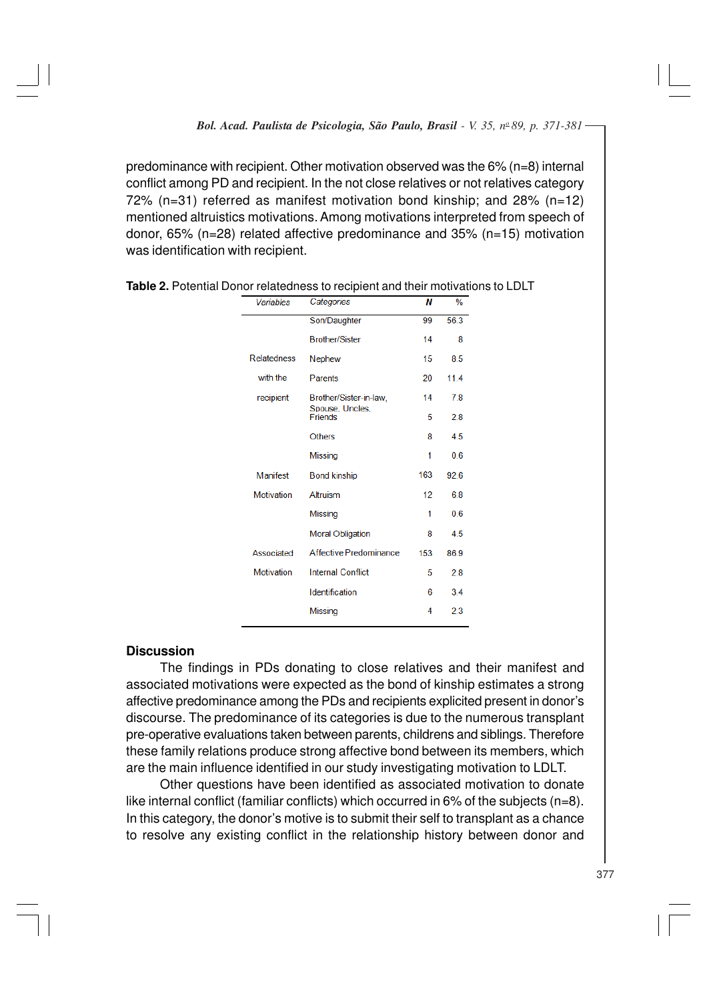predominance with recipient. Other motivation observed was the  $6\%$  (n=8) internal conflict among PD and recipient. In the not close relatives or not relatives category 72% (n=31) referred as manifest motivation bond kinship; and 28% (n=12) mentioned altruistics motivations. Among motivations interpreted from speech of donor, 65% (n=28) related affective predominance and 35% (n=15) motivation was identification with recipient.

| Variables          | Categories                        | Ν   | $\frac{9}{6}$ |
|--------------------|-----------------------------------|-----|---------------|
|                    | Son/Daughter                      | 99  | 56.3          |
|                    | <b>Brother/Sister</b>             | 14  | 8             |
| <b>Relatedness</b> | <b>Nephew</b>                     | 15  | 8.5           |
| with the           | Parents                           | 20  | 11.4          |
| recipient          | Brother/Sister-in-law,            | 14  | 78            |
|                    | Spouse, Uncles,<br><b>Friends</b> | 5   | 2.8           |
|                    | <b>Others</b>                     | 8   | 4.5           |
|                    | <b>Missing</b>                    | 1   | 0.6           |
| Manifest           | <b>Bond kinship</b>               | 163 | 92.6          |
| Motivation         | Altruism                          | 12  | 6.8           |
|                    | <b>Missing</b>                    | 1   | 0.6           |
|                    | <b>Moral Obligation</b>           | 8   | 4.5           |
| Associated         | Affective Predominance            | 153 | 86.9          |
| Motivation         | <b>Internal Conflict</b>          | 5   | 28            |
|                    | Identification                    | 6   | 3.4           |
|                    | <b>Missing</b>                    | 4   | 2.3           |

| Table 2. Potential Donor relatedness to recipient and their motivations to LDLT |  |
|---------------------------------------------------------------------------------|--|
|---------------------------------------------------------------------------------|--|

### **Discussion**

The findings in PDs donating to close relatives and their manifest and associated motivations were expected as the bond of kinship estimates a strong affective predominance among the PDs and recipients explicited present in donor's discourse. The predominance of its categories is due to the numerous transplant pre-operative evaluations taken between parents, childrens and siblings. Therefore these family relations produce strong affective bond between its members, which are the main influence identified in our study investigating motivation to LDLT.

Other questions have been identified as associated motivation to donate like internal conflict (familiar conflicts) which occurred in  $6\%$  of the subjects (n=8). In this category, the donor's motive is to submit their self to transplant as a chance to resolve any existing conflict in the relationship history between donor and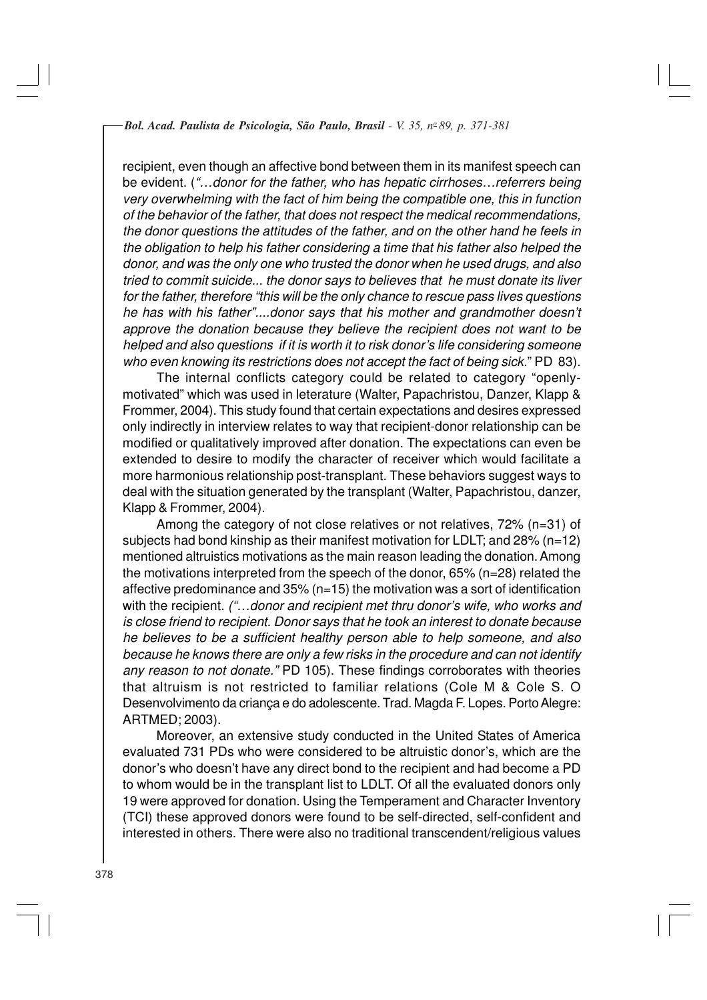recipient, even though an affective bond between them in its manifest speech can be evident. ("...donor for the father, who has hepatic cirrhoses...referrers being very overwhelming with the fact of him being the compatible one, this in function of the behavior of the father, that does not respect the medical recommendations, the donor questions the attitudes of the father, and on the other hand he feels in the obligation to help his father considering a time that his father also helped the donor, and was the only one who trusted the donor when he used drugs, and also tried to commit suicide... the donor says to believes that he must donate its liver for the father, therefore "this will be the only chance to rescue pass lives questions he has with his father"....donor says that his mother and grandmother doesn't approve the donation because they believe the recipient does not want to be helped and also questions if it is worth it to risk donor's life considering someone who even knowing its restrictions does not accept the fact of being sick." PD 83).

The internal conflicts category could be related to category "openlymotivated" which was used in leterature (Walter, Papachristou, Danzer, Klapp & Frommer, 2004). This study found that certain expectations and desires expressed only indirectly in interview relates to way that recipient-donor relationship can be modified or qualitatively improved after donation. The expectations can even be extended to desire to modify the character of receiver which would facilitate a more harmonious relationship post-transplant. These behaviors suggest ways to deal with the situation generated by the transplant (Walter, Papachristou, danzer, Klapp & Frommer, 2004).

Among the category of not close relatives or not relatives, 72% (n=31) of subjects had bond kinship as their manifest motivation for LDLT; and 28% (n=12) mentioned altruistics motivations as the main reason leading the donation. Among the motivations interpreted from the speech of the donor, 65% (n=28) related the affective predominance and 35% (n=15) the motivation was a sort of identification with the recipient. ("...donor and recipient met thru donor's wife, who works and is close friend to recipient. Donor says that he took an interest to donate because he believes to be a sufficient healthy person able to help someone, and also because he knows there are only a few risks in the procedure and can not identify any reason to not donate." PD 105). These findings corroborates with theories that altruism is not restricted to familiar relations (Cole M & Cole S. O Desenvolvimento da criança e do adolescente. Trad. Magda F. Lopes. Porto Alegre: ARTMED; 2003).

Moreover, an extensive study conducted in the United States of America evaluated 731 PDs who were considered to be altruistic donor's, which are the donor's who doesn't have any direct bond to the recipient and had become a PD to whom would be in the transplant list to LDLT. Of all the evaluated donors only 19 were approved for donation. Using the Temperament and Character Inventory (TCI) these approved donors were found to be self-directed, self-confident and interested in others. There were also no traditional transcendent/religious values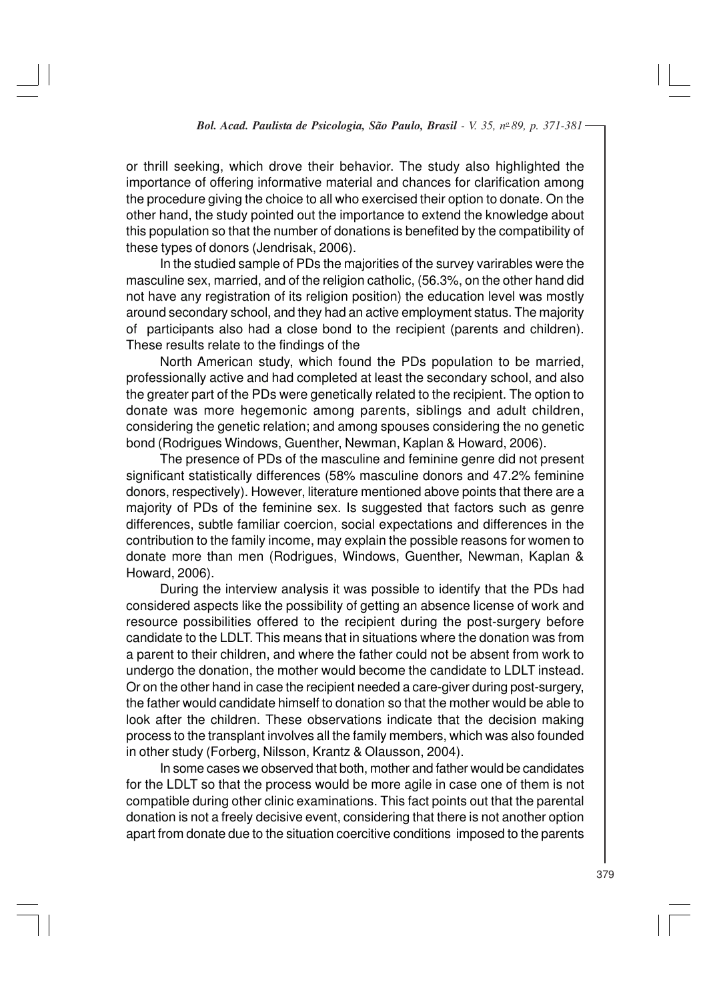or thrill seeking, which drove their behavior. The study also highlighted the importance of offering informative material and chances for clarification among the procedure giving the choice to all who exercised their option to donate. On the other hand, the study pointed out the importance to extend the knowledge about this population so that the number of donations is benefited by the compatibility of these types of donors (Jendrisak, 2006).

In the studied sample of PDs the majorities of the survey varirables were the masculine sex, married, and of the religion catholic, (56.3%, on the other hand did not have any registration of its religion position) the education level was mostly around secondary school, and they had an active employment status. The majority of participants also had a close bond to the recipient (parents and children). These results relate to the findings of the

North American study, which found the PDs population to be married, professionally active and had completed at least the secondary school, and also the greater part of the PDs were genetically related to the recipient. The option to donate was more hegemonic among parents, siblings and adult children, considering the genetic relation; and among spouses considering the no genetic bond (Rodrigues Windows, Guenther, Newman, Kaplan & Howard, 2006).

The presence of PDs of the masculine and feminine genre did not present significant statistically differences (58% masculine donors and 47.2% feminine donors, respectively). However, literature mentioned above points that there are a majority of PDs of the feminine sex. Is suggested that factors such as genre differences, subtle familiar coercion, social expectations and differences in the contribution to the family income, may explain the possible reasons for women to donate more than men (Rodrigues, Windows, Guenther, Newman, Kaplan & Howard, 2006).

During the interview analysis it was possible to identify that the PDs had considered aspects like the possibility of getting an absence license of work and resource possibilities offered to the recipient during the post-surgery before candidate to the LDLT. This means that in situations where the donation was from a parent to their children, and where the father could not be absent from work to undergo the donation, the mother would become the candidate to LDLT instead. Or on the other hand in case the recipient needed a care-giver during post-surgery, the father would candidate himself to donation so that the mother would be able to look after the children. These observations indicate that the decision making process to the transplant involves all the family members, which was also founded in other study (Forberg, Nilsson, Krantz & Olausson, 2004).

In some cases we observed that both, mother and father would be candidates for the LDLT so that the process would be more agile in case one of them is not compatible during other clinic examinations. This fact points out that the parental donation is not a freely decisive event, considering that there is not another option apart from donate due to the situation coercitive conditions imposed to the parents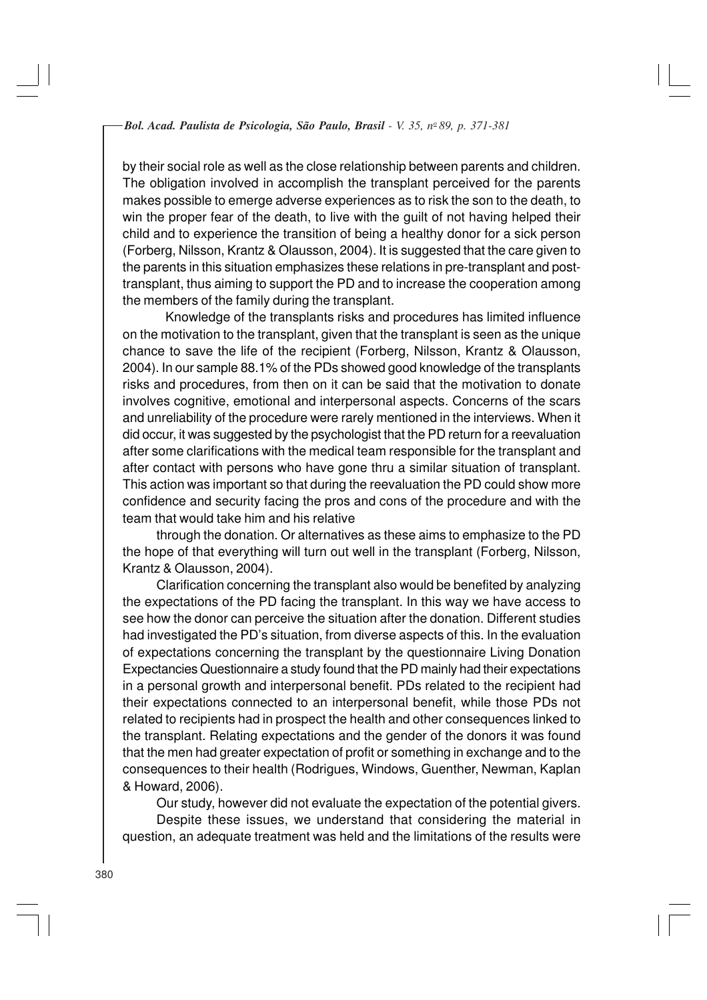by their social role as well as the close relationship between parents and children. The obligation involved in accomplish the transplant perceived for the parents makes possible to emerge adverse experiences as to risk the son to the death, to win the proper fear of the death, to live with the guilt of not having helped their child and to experience the transition of being a healthy donor for a sick person (Forberg, Nilsson, Krantz & Olausson, 2004). It is suggested that the care given to the parents in this situation emphasizes these relations in pre-transplant and posttransplant, thus aiming to support the PD and to increase the cooperation among the members of the family during the transplant.

Knowledge of the transplants risks and procedures has limited influence on the motivation to the transplant, given that the transplant is seen as the unique chance to save the life of the recipient (Forberg, Nilsson, Krantz & Olausson, 2004). In our sample 88.1% of the PDs showed good knowledge of the transplants risks and procedures, from then on it can be said that the motivation to donate involves cognitive, emotional and interpersonal aspects. Concerns of the scars and unreliability of the procedure were rarely mentioned in the interviews. When it did occur, it was suggested by the psychologist that the PD return for a reevaluation after some clarifications with the medical team responsible for the transplant and after contact with persons who have gone thru a similar situation of transplant. This action was important so that during the reevaluation the PD could show more confidence and security facing the pros and cons of the procedure and with the team that would take him and his relative

through the donation. Or alternatives as these aims to emphasize to the PD the hope of that everything will turn out well in the transplant (Forberg, Nilsson, Krantz & Olausson, 2004).

Clarification concerning the transplant also would be benefited by analyzing the expectations of the PD facing the transplant. In this way we have access to see how the donor can perceive the situation after the donation. Different studies had investigated the PD's situation, from diverse aspects of this. In the evaluation of expectations concerning the transplant by the questionnaire Living Donation Expectancies Questionnaire a study found that the PD mainly had their expectations in a personal growth and interpersonal benefit. PDs related to the recipient had their expectations connected to an interpersonal benefit, while those PDs not related to recipients had in prospect the health and other consequences linked to the transplant. Relating expectations and the gender of the donors it was found that the men had greater expectation of profit or something in exchange and to the consequences to their health (Rodrigues, Windows, Guenther, Newman, Kaplan & Howard, 2006).

Our study, however did not evaluate the expectation of the potential givers. Despite these issues, we understand that considering the material in question, an adequate treatment was held and the limitations of the results were